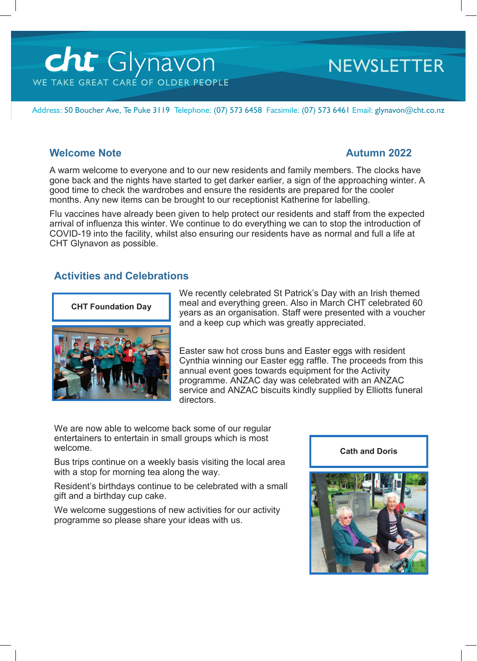# cht Glynavon WE TAKE GREAT CARE OF OLDER PEOPLE

# **NEWSLETTER**

Address: 50 Boucher Ave, Te Puke 3119 Telephone: (07) 573 6458 Facsimile: (07) 573 6461 Email: glynavon@cht.co.nz

### **Welcome Note Autumn 2022**

A warm welcome to everyone and to our new residents and family members. The clocks have gone back and the nights have started to get darker earlier, a sign of the approaching winter. A good time to check the wardrobes and ensure the residents are prepared for the cooler months. Any new items can be brought to our receptionist Katherine for labelling.

Flu vaccines have already been given to help protect our residents and staff from the expected arrival of influenza this winter. We continue to do everything we can to stop the introduction of COVID-19 into the facility, whilst also ensuring our residents have as normal and full a life at CHT Glynavon as possible.

# **Activities and Celebrations**



We recently celebrated St Patrick's Day with an Irish themed meal and everything green. Also in March CHT celebrated 60 years as an organisation. Staff were presented with a voucher and a keep cup which was greatly appreciated.

Easter saw hot cross buns and Easter eggs with resident Cynthia winning our Easter egg raffle. The proceeds from this annual event goes towards equipment for the Activity programme. ANZAC day was celebrated with an ANZAC service and ANZAC biscuits kindly supplied by Elliotts funeral directors.

We are now able to welcome back some of our regular entertainers to entertain in small groups which is most welcome.

Bus trips continue on a weekly basis visiting the local area with a stop for morning tea along the way.

Resident's birthdays continue to be celebrated with a small gift and a birthday cup cake.

We welcome suggestions of new activities for our activity programme so please share your ideas with us.



**Cath and Doris**